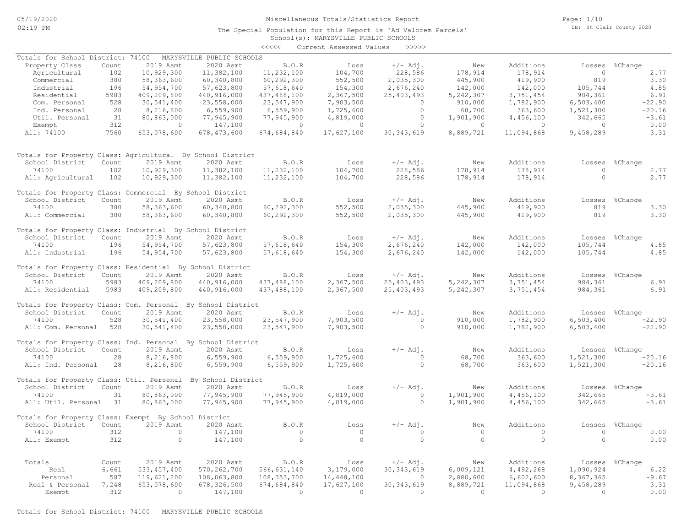#### Miscellaneous Totals/Statistics Report

Page: 1/10 DB: St Clair County 2020

School(s): MARYSVILLE PUBLIC SCHOOLS The Special Population for this Report is 'Ad Valorem Parcels' <<<<< Current Assessed Values >>>>>

| Totals for School District: 74100                           |       |               | MARYSVILLE PUBLIC SCHOOLS |                |                |              |                |                |                |                |
|-------------------------------------------------------------|-------|---------------|---------------------------|----------------|----------------|--------------|----------------|----------------|----------------|----------------|
| Property Class                                              | Count | 2019 Asmt     | 2020 Asmt                 | B.O.R          | Loss           | $+/-$ Adj.   | New            | Additions      | Losses         | %Change        |
| Agricultural                                                | 102   | 10,929,300    | 11,382,100                | 11,232,100     | 104,700        | 228,586      | 178,914        | 178,914        | $\overline{0}$ | 2.77           |
| Commercial                                                  | 380   | 58, 363, 600  | 60,340,800                | 60,292,300     | 552,500        | 2,035,300    | 445,900        | 419,900        | 819            | 3.30           |
| Industrial                                                  | 196   | 54,954,700    | 57,623,800                | 57,618,640     | 154,300        | 2,676,240    | 142,000        | 142,000        | 105,744        | 4.85           |
| Residential                                                 | 5983  | 409,209,800   | 440,916,000               | 437,488,100    | 2,367,500      | 25, 403, 493 | 5,242,307      | 3,751,454      | 984,361        | 6.91           |
| Com. Personal                                               | 528   | 30,541,400    | 23,558,000                | 23,547,900     | 7,903,500      | $\circ$      | 910,000        | 1,782,900      | 6,503,400      | $-22.90$       |
| Ind. Personal                                               | 28    | 8,216,800     | 6,559,900                 | 6,559,900      | 1,725,600      | $\Omega$     | 68,700         | 363,600        | 1,521,300      | $-20.16$       |
| Util. Personal                                              | 31    | 80,863,000    | 77,945,900                | 77,945,900     | 4,819,000      | $\circ$      | 1,901,900      | 4,456,100      | 342,665        | $-3.61$        |
|                                                             | 312   | $\Omega$      | 147,100                   | $\overline{0}$ | $\Omega$       | $\Omega$     | $\Omega$       | $\bigcirc$     | $\bigcirc$     | 0.00           |
| Exempt                                                      |       |               |                           |                |                |              |                |                |                | 3.31           |
| All: 74100                                                  | 7560  | 653,078,600   | 678, 473, 600             | 674,684,840    | 17,627,100     | 30, 343, 619 | 8,889,721      | 11,094,868     | 9,458,289      |                |
| Totals for Property Class: Agricultural By School District  |       |               |                           |                |                |              |                |                |                |                |
| School District                                             | Count | 2019 Asmt     | 2020 Asmt                 | B.O.R          | Loss           | $+/-$ Adj.   | New            | Additions      | Losses         | %Change        |
| 74100                                                       | 102   | 10,929,300    | 11,382,100                | 11,232,100     | 104,700        | 228,586      | 178,914        | 178,914        | $\circ$        | 2.77           |
| All: Agricultural                                           | 102   | 10,929,300    | 11,382,100                | 11,232,100     | 104,700        | 228,586      | 178,914        | 178,914        | $\circ$        | 2.77           |
| Totals for Property Class: Commercial By School District    |       |               |                           |                |                |              |                |                |                |                |
| School District                                             | Count | 2019 Asmt     | 2020 Asmt                 | B.O.R          | Loss           | $+/-$ Adj.   | New            | Additions      | Losses         | %Change        |
| 74100                                                       | 380   | 58,363,600    | 60,340,800                | 60,292,300     | 552,500        | 2,035,300    | 445,900        | 419,900        | 819            | 3.30           |
| All: Commercial                                             | 380   | 58,363,600    | 60,340,800                | 60,292,300     | 552,500        | 2,035,300    | 445,900        | 419,900        | 819            | 3.30           |
|                                                             |       |               |                           |                |                |              |                |                |                |                |
| Totals for Property Class: Industrial By School District    |       |               |                           |                |                |              |                |                |                |                |
| School District                                             | Count | 2019 Asmt     | 2020 Asmt                 | B.O.R          | Loss           | $+/-$ Adj.   | New            | Additions      |                | Losses %Change |
| 74100                                                       | 196   | 54,954,700    | 57,623,800                | 57,618,640     | 154,300        | 2,676,240    | 142,000        | 142,000        | 105,744        | 4.85           |
| All: Industrial                                             | 196   | 54,954,700    | 57,623,800                | 57,618,640     | 154,300        | 2,676,240    | 142,000        | 142,000        | 105,744        | 4.85           |
| Totals for Property Class: Residential By School District   |       |               |                           |                |                |              |                |                |                |                |
| School District                                             | Count | 2019 Asmt     | 2020 Asmt                 | B.O.R          | Loss           | $+/-$ Adj.   | New            | Additions      | Losses         | %Change        |
| 74100                                                       | 5983  | 409,209,800   | 440,916,000               | 437,488,100    | 2,367,500      | 25, 403, 493 | 5,242,307      | 3,751,454      | 984,361        | 6.91           |
| All: Residential                                            | 5983  | 409,209,800   | 440,916,000               | 437,488,100    | 2,367,500      | 25, 403, 493 | 5,242,307      | 3,751,454      | 984,361        | 6.91           |
| Totals for Property Class: Com. Personal By School District |       |               |                           |                |                |              |                |                |                |                |
|                                                             |       |               |                           |                |                |              |                |                |                |                |
| School District                                             | Count | 2019 Asmt     | 2020 Asmt                 | B.O.R          | Loss           | $+/-$ Adj.   | New            | Additions      | Losses         | %Change        |
| 74100                                                       | 528   | 30,541,400    | 23,558,000                | 23,547,900     | 7,903,500      | $\Omega$     | 910,000        | 1,782,900      | 6,503,400      | $-22.90$       |
| All: Com. Personal                                          | 528   | 30,541,400    | 23,558,000                | 23,547,900     | 7,903,500      | $\Omega$     | 910,000        | 1,782,900      | 6,503,400      | $-22.90$       |
| Totals for Property Class: Ind. Personal By School District |       |               |                           |                |                |              |                |                |                |                |
| School District                                             | Count | 2019 Asmt     | 2020 Asmt                 | <b>B.O.R</b>   | Loss           | $+/-$ Adj.   | New            | Additions      | Losses         | %Change        |
| 74100                                                       | 28    | 8,216,800     | 6,559,900                 | 6,559,900      | 1,725,600      | $\mathbf{0}$ | 68,700         | 363,600        | 1,521,300      | $-20.16$       |
| All: Ind. Personal                                          | 28    | 8,216,800     | 6,559,900                 | 6,559,900      | 1,725,600      | $\circ$      | 68,700         | 363,600        | 1,521,300      | $-20.16$       |
| Totals for Property Class: Util. Personal                   |       |               | By School District        |                |                |              |                |                |                |                |
| School District                                             | Count | 2019 Asmt     | 2020 Asmt                 | B.O.R          | Loss           | $+/-$ Adj.   | New            | Additions      | Losses         | %Change        |
| 74100                                                       | 31    | 80,863,000    | 77,945,900                | 77,945,900     | 4,819,000      | $\Omega$     | 1,901,900      | 4,456,100      | 342,665        | $-3.61$        |
| All: Util. Personal 31                                      |       | 80,863,000    | 77,945,900                | 77,945,900     | 4,819,000      | $\Omega$     | 1,901,900      | 4,456,100      | 342,665        | $-3.61$        |
| Totals for Property Class: Exempt By School District        |       |               |                           |                |                |              |                |                |                |                |
| School District                                             | Count | 2019 Asmt     | 2020 Asmt                 | B.O.R          | Loss           | $+/-$ Adj.   | New            | Additions      | Losses         | %Change        |
| 74100                                                       | 312   | $\circ$       | 147,100                   | $\circ$        | $\overline{0}$ | $\mathbf{0}$ | $\overline{0}$ | $\overline{0}$ | $\overline{0}$ | 0.00           |
|                                                             | 312   | $\circ$       | 147,100                   | $\circ$        | $\circ$        | $\circ$      | $\circ$        | $\circ$        | $\circ$        | 0.00           |
| All: Exempt                                                 |       |               |                           |                |                |              |                |                |                |                |
| Totals                                                      | Count | 2019 Asmt     | 2020 Asmt                 | B.O.R          | Loss           | $+/-$ Adj.   |                | Additions      | Losses         | %Change        |
|                                                             |       |               |                           |                |                |              | New            |                |                |                |
| Real                                                        | 6,661 | 533, 457, 400 | 570, 262, 700             | 566,631,140    | 3,179,000      | 30, 343, 619 | 6,009,121      | 4,492,268      | 1,090,924      | 6.22           |
| Personal                                                    | 587   | 119,621,200   | 108,063,800               | 108,053,700    | 14,448,100     | $\Omega$     | 2,880,600      | 6,602,600      | 8,367,365      | $-9.67$        |
| Real & Personal                                             | 7,248 | 653,078,600   | 678, 326, 500             | 674,684,840    | 17,627,100     | 30, 343, 619 | 8,889,721      | 11,094,868     | 9,458,289      | 3.31           |
| Exempt                                                      | 312   | $\Omega$      | 147,100                   | $\overline{0}$ | $\Omega$       | $\Omega$     | $\Omega$       | $\overline{0}$ | $\bigcirc$     | 0.00           |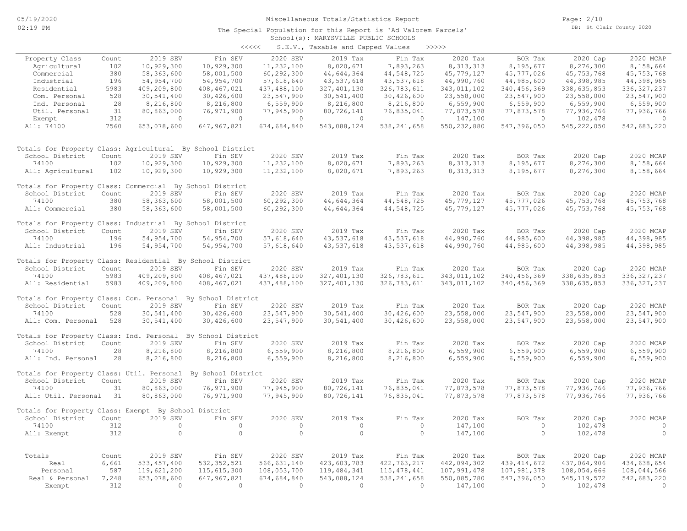#### School(s): MARYSVILLE PUBLIC SCHOOLS The Special Population for this Report is 'Ad Valorem Parcels'

| S.E.V., Taxable and Capped Values<br><<<< |  |  | >>>>> |  |
|-------------------------------------------|--|--|-------|--|
|-------------------------------------------|--|--|-------|--|

|                                                             |               |                            |                        |                           | $5.2.7.7$ candidate and capped $0.22.00$ |                        |                         |                          |                         |                            |
|-------------------------------------------------------------|---------------|----------------------------|------------------------|---------------------------|------------------------------------------|------------------------|-------------------------|--------------------------|-------------------------|----------------------------|
| Property Class                                              | Count         | 2019 SEV                   | Fin SEV                | 2020 SEV                  | 2019 Tax                                 | Fin Tax                | 2020 Tax                | BOR Tax                  | 2020 Cap                | 2020 MCAP                  |
| Agricultural                                                | 102           | 10,929,300                 | 10,929,300             | 11,232,100                | 8,020,671                                | 7,893,263              | 8, 313, 313             | 8,195,677                | 8,276,300               | 8,158,664                  |
| Commercial                                                  | 380           | 58,363,600                 | 58,001,500             | 60, 292, 300              | 44,644,364                               | 44,548,725             | 45,779,127              | 45,777,026               | 45,753,768              | 45, 753, 768               |
| Industrial                                                  | 196           | 54,954,700                 | 54, 954, 700           | 57,618,640                | 43,537,618                               | 43,537,618             | 44,990,760              | 44,985,600               | 44,398,985              | 44,398,985                 |
| Residential                                                 | 5983          | 409,209,800                | 408, 467, 021          | 437,488,100               | 327, 401, 130                            | 326,783,611            | 343,011,102             | 340, 456, 369            | 338,635,853             | 336, 327, 237              |
| Com. Personal                                               | 528           | 30,541,400                 | 30,426,600             | 23,547,900                | 30,541,400                               | 30,426,600             | 23,558,000              | 23,547,900               | 23,558,000              | 23,547,900                 |
| Ind. Personal                                               | 28            | 8,216,800                  | 8,216,800              | 6,559,900                 | 8,216,800                                | 8,216,800              | 6,559,900               | 6,559,900                | 6,559,900               | 6,559,900                  |
| Util. Personal                                              | 31            | 80,863,000                 | 76,971,900             | 77,945,900                | 80,726,141                               | 76,835,041             | 77,873,578              | 77,873,578               | 77,936,766              | 77,936,766                 |
| Exempt                                                      | 312           | $\overline{0}$             | $\circ$                | $\circ$                   | $\circ$                                  | $\circ$                | 147,100                 | $\circ$                  | 102,478                 | $\circ$                    |
| All: 74100                                                  | 7560          | 653,078,600                | 647, 967, 821          | 674,684,840               | 543,088,124                              | 538, 241, 658          | 550, 232, 880           | 547,396,050              | 545, 222, 050           | 542,683,220                |
| Totals for Property Class: Agricultural By School District  |               |                            |                        |                           |                                          |                        |                         |                          |                         |                            |
| School District                                             | Count         | 2019 SEV                   | Fin SEV                | 2020 SEV                  | 2019 Tax                                 | Fin Tax                | 2020 Tax                | BOR Tax                  | 2020 Cap                | 2020 MCAP                  |
| 74100                                                       | 102           | 10,929,300                 | 10,929,300             | 11,232,100                | 8,020,671                                | 7,893,263              | 8, 313, 313             | 8,195,677                | 8,276,300               | 8,158,664                  |
| All: Agricultural                                           | 102           | 10,929,300                 | 10,929,300             | 11,232,100                | 8,020,671                                | 7,893,263              | 8, 313, 313             | 8,195,677                | 8,276,300               | 8,158,664                  |
|                                                             |               |                            |                        |                           |                                          |                        |                         |                          |                         |                            |
| Totals for Property Class: Commercial By School District    |               |                            |                        |                           |                                          |                        |                         |                          |                         |                            |
| School District                                             | Count         | 2019 SEV                   | Fin SEV                | 2020 SEV                  | 2019 Tax                                 | Fin Tax                | 2020 Tax                | BOR Tax                  | 2020 Cap                | 2020 MCAP                  |
| 74100                                                       | 380           | 58, 363, 600               | 58,001,500             | 60,292,300                | 44,644,364                               | 44, 548, 725           | 45,779,127              | 45,777,026               | 45,753,768              | 45, 753, 768               |
| All: Commercial                                             | 380           | 58,363,600                 | 58,001,500             | 60,292,300                | 44,644,364                               | 44,548,725             | 45,779,127              | 45,777,026               | 45,753,768              | 45,753,768                 |
|                                                             |               |                            |                        |                           |                                          |                        |                         |                          |                         |                            |
| Totals for Property Class: Industrial By School District    |               |                            |                        |                           |                                          |                        |                         |                          |                         |                            |
| School District                                             | Count         | 2019 SEV                   | Fin SEV                | 2020 SEV                  | 2019 Tax                                 | Fin Tax                | 2020 Tax                | BOR Tax                  | 2020 Cap                | 2020 MCAP                  |
| 74100                                                       | 196           | 54,954,700                 | 54,954,700             | 57,618,640                | 43,537,618                               | 43,537,618             | 44,990,760              | 44,985,600               | 44,398,985              | 44,398,985                 |
| All: Industrial                                             | 196           | 54, 954, 700               | 54,954,700             | 57,618,640                | 43,537,618                               | 43,537,618             | 44,990,760              | 44,985,600               | 44,398,985              | 44,398,985                 |
|                                                             |               |                            |                        |                           |                                          |                        |                         |                          |                         |                            |
| Totals for Property Class: Residential By School District   |               |                            |                        |                           |                                          |                        |                         |                          |                         |                            |
| School District                                             | Count<br>5983 | 2019 SEV                   | Fin SEV<br>408,467,021 | 2020 SEV<br>437, 488, 100 | 2019 Tax<br>327, 401, 130                | Fin Tax<br>326,783,611 | 2020 Tax<br>343,011,102 | BOR Tax<br>340, 456, 369 | 2020 Cap<br>338,635,853 | 2020 MCAP<br>336, 327, 237 |
| 74100<br>All: Residential                                   | 5983          | 409,209,800<br>409,209,800 | 408, 467, 021          | 437,488,100               | 327, 401, 130                            | 326,783,611            | 343,011,102             | 340,456,369              | 338,635,853             | 336, 327, 237              |
|                                                             |               |                            |                        |                           |                                          |                        |                         |                          |                         |                            |
| Totals for Property Class: Com. Personal By School District |               |                            |                        |                           |                                          |                        |                         |                          |                         |                            |
| School District                                             | Count         | 2019 SEV                   | Fin SEV                | 2020 SEV                  | 2019 Tax                                 | Fin Tax                | 2020 Tax                | BOR Tax                  | 2020 Cap                | 2020 MCAP                  |
| 74100                                                       | 528           | 30,541,400                 | 30,426,600             | 23,547,900                | 30,541,400                               | 30,426,600             | 23,558,000              | 23,547,900               | 23,558,000              | 23,547,900                 |
| All: Com. Personal                                          | 528           | 30,541,400                 | 30,426,600             | 23,547,900                | 30,541,400                               | 30,426,600             | 23,558,000              | 23,547,900               | 23,558,000              | 23,547,900                 |
|                                                             |               |                            |                        |                           |                                          |                        |                         |                          |                         |                            |
| Totals for Property Class: Ind. Personal By School District |               |                            |                        |                           |                                          |                        |                         |                          |                         |                            |
| School District                                             | Count         | 2019 SEV                   | Fin SEV                | 2020 SEV                  | 2019 Tax                                 | Fin Tax                | 2020 Tax                | BOR Tax                  | 2020 Cap                | 2020 MCAP                  |
| 74100                                                       | 28            | 8,216,800                  | 8,216,800              | 6,559,900                 | 8,216,800                                | 8,216,800              | 6,559,900               | 6,559,900                | 6,559,900               | 6,559,900                  |
| All: Ind. Personal                                          | 28            | 8,216,800                  | 8,216,800              | 6,559,900                 | 8,216,800                                | 8,216,800              | 6,559,900               | 6,559,900                | 6,559,900               | 6,559,900                  |
| Totals for Property Class: Util. Personal                   |               |                            | By School District     |                           |                                          |                        |                         |                          |                         |                            |
| School District                                             | Count         | 2019 SEV                   | Fin SEV                | 2020 SEV                  | 2019 Tax                                 | Fin Tax                | 2020 Tax                | BOR Tax                  | 2020 Cap                | 2020 MCAP                  |
| 74100                                                       | 31            | 80,863,000                 | 76,971,900             | 77,945,900                | 80,726,141                               | 76,835,041             | 77,873,578              | 77,873,578               | 77,936,766              | 77,936,766                 |
| All: Util. Personal                                         | 31            | 80,863,000                 | 76,971,900             | 77,945,900                | 80,726,141                               | 76,835,041             | 77,873,578              | 77,873,578               | 77,936,766              | 77,936,766                 |
|                                                             |               |                            |                        |                           |                                          |                        |                         |                          |                         |                            |
| Totals for Property Class: Exempt By School District        |               |                            |                        |                           |                                          |                        |                         |                          |                         |                            |
| School District                                             | Count         | 2019 SEV                   | Fin SEV                | 2020 SEV                  | 2019 Tax                                 | Fin Tax                | 2020 Tax                | BOR Tax                  | 2020 Cap                | 2020 MCAP                  |
| 74100                                                       | 312           | $\circ$                    | $\circ$                | $\circ$                   | $\circ$                                  | $\circ$                | 147,100                 | $\circ$                  | 102,478                 | $\circ$                    |
| All: Exempt                                                 | 312           | $\circ$                    | $\circ$                | $\circ$                   | $\circ$                                  | $\circ$                | 147,100                 | $\circ$                  | 102,478                 | $\circ$                    |
|                                                             |               |                            |                        |                           |                                          |                        |                         |                          |                         |                            |
| Totals                                                      | Count         | 2019 SEV                   | Fin SEV                | 2020 SEV                  | 2019 Tax                                 | Fin Tax                | 2020 Tax                | BOR Tax                  | 2020 Cap                | 2020 MCAP                  |
| Real                                                        | 6,661         | 533, 457, 400              | 532, 352, 521          | 566, 631, 140             | 423,603,783                              | 422,763,217            | 442,094,302             | 439, 414, 672            | 437,064,906             | 434,638,654                |
| Personal                                                    | 587           | 119,621,200                | 115,615,300            | 108,053,700               | 119,484,341                              | 115, 478, 441          | 107,991,478             | 107,981,378              | 108,054,666             | 108,044,566                |
| Real & Personal                                             | 7,248         | 653,078,600                | 647, 967, 821          | 674,684,840               | 543,088,124                              | 538, 241, 658          | 550,085,780             | 547,396,050              | 545, 119, 572           | 542,683,220                |
| Exempt                                                      | 312           | $\bigcirc$                 | $\bigcirc$             | $\overline{0}$            | $\bigcirc$                               | $\bigcirc$             | 147,100                 | $\Omega$                 | 102,478                 | $\Omega$                   |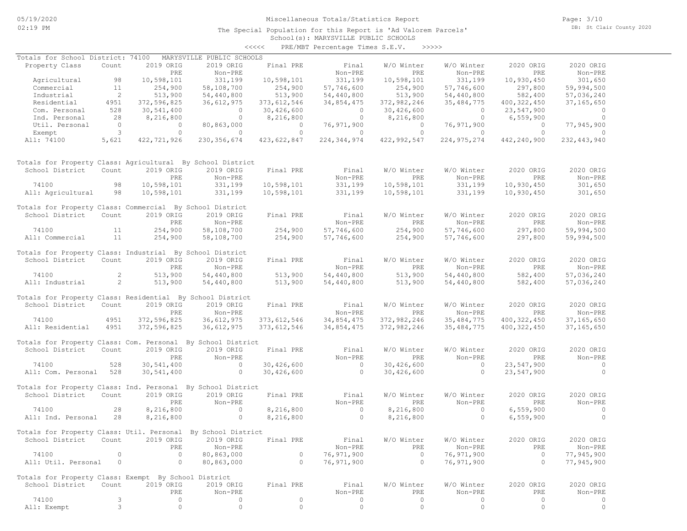# Miscellaneous Totals/Statistics Report

The Special Population for this Report is 'Ad Valorem Parcels'

Page: 3/10 DB: St Clair County 2020

#### School(s): MARYSVILLE PUBLIC SCHOOLS <<<<< PRE/MBT Percentage Times S.E.V. >>>>>

| Totals for School District: 74100                                       |                            |                                 | MARYSVILLE PUBLIC SCHOOLS                      |                |                            |                     |                |                       |                |
|-------------------------------------------------------------------------|----------------------------|---------------------------------|------------------------------------------------|----------------|----------------------------|---------------------|----------------|-----------------------|----------------|
| Property Class                                                          | Count                      | 2019 ORIG                       | 2019 ORIG                                      | Final PRE      | Final                      | W/O Winter          | W/O Winter     | 2020 ORIG             | 2020 ORIG      |
|                                                                         |                            | PRE                             | Non-PRE                                        |                | Non-PRE                    | PRE                 | Non-PRE        | PRE                   | Non-PRE        |
| Agricultural 98                                                         |                            | 10,598,101                      | 331,199                                        | 10,598,101     | 331,199                    | 10,598,101          | 331,199        | 10,930,450            | 301,650        |
| Commercial                                                              | 11                         | 254,900                         | 58,108,700                                     | 254,900        | 57,746,600                 | 254,900             | 57,746,600     | 297,800               | 59,994,500     |
| Industrial                                                              | $\overline{\phantom{a}}$ 2 | 513,900                         | 54,440,800                                     | 513,900        | 54,440,800                 | 513,900             | 54,440,800     | 582,400               | 57,036,240     |
| Residential                                                             | 4951                       | 372,596,825                     | 36,612,975                                     | 373, 612, 546  | 34,854,475                 | 372,982,246         | 35, 484, 775   | 400, 322, 450         | 37,165,650     |
| Com. Personal                                                           | 528                        | 30,541,400                      | $\begin{pmatrix} 1 & 1 \\ 0 & 1 \end{pmatrix}$ | 30,426,600     | $\overline{0}$             | 30,426,600          | $\overline{0}$ | 23,547,900            | $\circ$        |
| Ind. Personal                                                           | 28                         | 8,216,800                       | $\overline{0}$                                 | 8,216,800      | $\overline{0}$             | 8,216,800           | $\overline{0}$ | 6,559,900             | $\Omega$       |
| Util. Personal                                                          |                            | $\overline{0}$                  | 80,863,000                                     | $\sim$ 0       | 76,971,900                 | $\overline{0}$      | 76,971,900     | $\sim$ 0              | 77,945,900     |
| Exempt                                                                  |                            | $\frac{0}{3}$<br>$\overline{0}$ | $\overline{0}$                                 | $\overline{0}$ | $\overline{0}$             | $\overline{0}$      | $\overline{0}$ | $\overline{0}$        | $\overline{0}$ |
| All: 74100                                                              | 5,621                      | 422,721,926                     | 230, 356, 674                                  | 423,622,847    | 224, 344, 974              | 422,992,547         | 224,975,274    | 442,240,900           | 232, 443, 940  |
| Totals for Property Class: Agricultural By School District              |                            |                                 |                                                |                |                            |                     |                |                       |                |
| School District                                                         | Count                      | 2019 ORIG                       | 2019 ORIG                                      | Final PRE      | Final                      | W/O Winter          | W/O Winter     | 2020 ORIG             | 2020 ORIG      |
|                                                                         |                            | PRE                             | Non-PRE                                        |                | Non-PRE                    | PRE                 | Non-PRE        | PRE                   | Non-PRE        |
| 74100                                                                   | 98                         | 10,598,101                      | 331,199                                        | 10,598,101     | 331,199                    | 10,598,101          | 331,199        | 10,930,450            | 301,650        |
| All: Agricultural 98                                                    |                            | 10,598,101                      | 331,199                                        | 10,598,101     | 331,199                    | 10,598,101          | 331,199        | 10,930,450            | 301,650        |
| Totals for Property Class: Commercial By School District                |                            |                                 |                                                |                |                            |                     |                |                       |                |
| School District Count                                                   |                            | 2019 ORIG                       | 2019 ORIG                                      | Final PRE      | Final                      | W/O Winter          | W/O Winter     | 2020 ORIG             | 2020 ORIG      |
|                                                                         |                            | PRE                             | Non-PRE                                        |                | Non-PRE                    | PRE                 | Non-PRE        | PRE                   | Non-PRE        |
| 74100<br>$\sim$ $11$                                                    |                            | 254,900                         | 58,108,700                                     | 254,900        | 57,746,600                 |                     | 57,746,600     | 297,800               | 59,994,500     |
| All: Commercial 11                                                      |                            | 254,900                         | 58,108,700                                     | 254,900        | 57,746,600                 | 254,900<br>254,900  | 57,746,600     | 297,800               | 59,994,500     |
|                                                                         |                            |                                 |                                                |                |                            |                     |                |                       |                |
| Totals for Property Class: Industrial By School District                |                            |                                 |                                                |                |                            |                     |                |                       |                |
| School District Count                                                   |                            | 2019 ORIG                       | 2019 ORIG                                      | Final PRE      | Final                      | W/O Winter          | W/O Winter     | 2020 ORIG             | 2020 ORIG      |
|                                                                         |                            | PRE                             | Non-PRE                                        |                | Non-PRE                    | PRE                 | Non-PRE        | PRE<br>PRE<br>582,400 | Non-PRE        |
| 74100                                                                   | $\sim$ 2                   | 513,900                         | 54,440,800                                     | 513,900        | 54,440,800                 | 513,900             | 54,440,800     |                       | 57,036,240     |
| All: Industrial 2 513,900                                               |                            |                                 | 54,440,800                                     | 513,900        | 54,440,800                 | 513,900             | 54,440,800     | 582,400               | 57,036,240     |
| Totals for Property Class: Residential By School District               |                            |                                 |                                                |                |                            |                     |                |                       |                |
| School District                                                         | Count                      | 2019 ORIG                       | 2019 ORIG                                      | Final PRE      | Final                      | W/O Winter          | W/O Winter     | 2020 ORIG             | 2020 ORIG      |
|                                                                         |                            | PRE                             | Non-PRE                                        |                | Non-PRE                    | <b>EXERCISE PRE</b> | Non-PRE        | PRE                   | Non-PRE        |
| 74100                                                                   | 4951                       | 372,596,825                     | 36,612,975                                     |                | 373, 612, 546 34, 854, 475 | 372,982,246         | 35, 484, 775   | 400, 322, 450         | 37, 165, 650   |
| All: Residential                                                        | 4951                       | 372,596,825                     | 36,612,975                                     | 373,612,546    | 34,854,475                 | 372,982,246         | 35, 484, 775   | 400, 322, 450         | 37, 165, 650   |
|                                                                         |                            |                                 |                                                |                |                            |                     |                |                       |                |
| Totals for Property Class: Com. Personal By School District             |                            |                                 |                                                |                |                            |                     |                |                       |                |
| School District                                                         | Count                      | 2019 ORIG                       | 2019 ORIG                                      | Final PRE      | Final                      | W/O Winter          | W/O Winter     | 2020 ORIG             | 2020 ORIG      |
|                                                                         |                            | PRE                             | Non-PRE                                        |                | Non-PRE                    | PRE                 | Non-PRE        | PRE                   | Non-PRE        |
| 74100                                                                   | 528                        | 30,541,400                      | $\begin{array}{c} 0 \\ 0 \end{array}$          |                | $30,426,600$ 0             | 30,426,600          | $\overline{0}$ | 23,547,900            | $\sim$ 0       |
| All: Com. Personal 528                                                  |                            | 30,541,400                      |                                                | 30,426,600     | $\overline{0}$             | 30,426,600          | $\overline{0}$ | 23,547,900            | $\overline{0}$ |
| Totals for Property Class: Ind. Personal By School District             |                            |                                 |                                                |                |                            |                     |                |                       |                |
| School District                                                         | Count                      | 2019 ORIG                       | 2019 ORIG                                      | Final PRE      | Final                      | W/O Winter          | W/O Winter     | 2020 ORIG             | 2020 ORIG      |
|                                                                         |                            | PRE                             | Non-PRE                                        |                | Non-PRE                    | PRE                 | Non-PRE        | PRE                   | Non-PRE        |
| 74100                                                                   | 28                         | 8,216,800                       | $\sim$ 0                                       | 8,216,800      | $\sim$ 0                   | 8,216,800           | $\sim$ 0       | 6,559,900             | $\sim$ 0       |
| All: Ind. Personal 28                                                   |                            | 8,216,800                       | $\begin{array}{c}\n0 \\ 1\n\end{array}$        | 8,216,800      | $\overline{a}$             | 8,216,800           | $\sim$ 0       | 6,559,900             | $\Omega$       |
|                                                                         |                            |                                 |                                                |                |                            |                     |                |                       |                |
| Totals for Property Class: Util. Personal By School District            |                            |                                 |                                                |                |                            |                     |                |                       |                |
| School District Count 2019 ORIG 2019 ORIG Final PRE                     |                            |                                 |                                                |                | Final                      | W/O Winter          | W/O Winter     | 2020 ORIG             | 2020 ORIG      |
|                                                                         |                            | PRE                             | Non-PRE                                        |                | Non-PRE                    | PRE                 | Non-PRE        | PRE                   | Non-PRE        |
| 74100                                                                   | $\circ$                    | $\mathbf{0}$                    | 80,863,000                                     | $\circ$        | 76,971,900                 | $\Omega$            | 76,971,900     | $\overline{0}$        | 77,945,900     |
| All: Util. Personal                                                     | $\circ$                    | $\circ$                         | 80,863,000                                     | $\circ$        | 76,971,900                 | $\circ$             | 76,971,900     | $\mathbf{0}$          | 77,945,900     |
|                                                                         |                            |                                 |                                                |                |                            |                     |                |                       |                |
| Totals for Property Class: Exempt By School District<br>School District | Count                      | 2019 ORIG                       | 2019 ORIG                                      | Final PRE      | Final                      | W/O Winter          | W/O Winter     | 2020 ORIG             | 2020 ORIG      |
|                                                                         |                            | PRE                             | Non-PRE                                        |                | Non-PRE                    | PRE                 | Non-PRE        | PRE                   | Non-PRE        |
| 74100                                                                   | 3                          | 0                               | 0                                              | 0              | 0                          | $\circ$             | 0              | $\circ$               | 0              |
| All: Exempt                                                             | 3                          | $\circ$                         | $\circ$                                        | $\circ$        | $\circ$                    | $\circ$             | $\circ$        | $\circ$               | $\circ$        |
|                                                                         |                            |                                 |                                                |                |                            |                     |                |                       |                |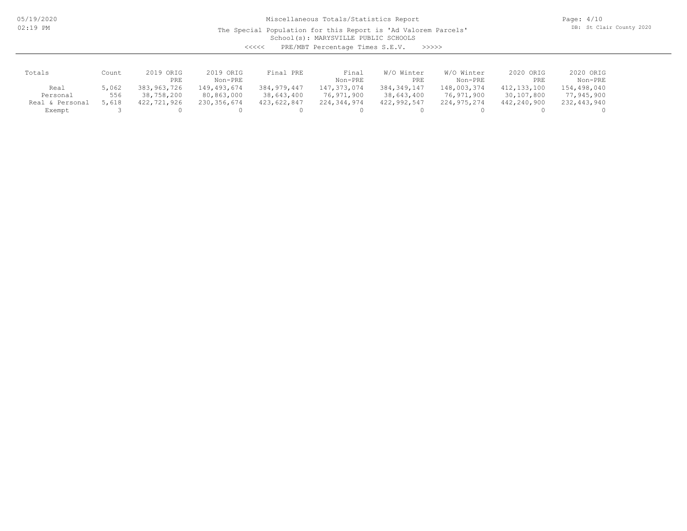05/19/2020 02:19 PM

# Miscellaneous Totals/Statistics Report

The Special Population for this Report is 'Ad Valorem Parcels'

Page: 4/10 DB: St Clair County 2020

School(s): MARYSVILLE PUBLIC SCHOOLS

<<<<< PRE/MBT Percentage Times S.E.V. >>>>>

| Totals             | Count | 2019 ORIG   | 2019 ORIG   | Final PRE     | Final         | W/O Winter    | W/O Winter  | 2020 ORIG   | 2020 ORIG   |
|--------------------|-------|-------------|-------------|---------------|---------------|---------------|-------------|-------------|-------------|
|                    |       | PRE         | Non-PRE     |               | Non-PRE       | PRE           | Non-PRE     | PRE         | Non-PRE     |
| Real               | 5,062 | 383,963,726 | 149,493,674 | 384, 979, 447 | 147, 373, 074 | 384, 349, 147 | 148,003,374 | 412,133,100 | 154,498,040 |
| Personal           | 556   | 38,758,200  | 80,863,000  | 38,643,400    | 76,971,900    | 38,643,400    | 76,971,900  | 30,107,800  | 77,945,900  |
| Personal<br>Real & | 5,618 | 422,721,926 | 230,356,674 | 423,622,847   | 224,344,974   | 422,992,547   | 224,975,274 | 442,240,900 | 232,443,940 |
| Exempt             |       |             |             |               |               |               |             |             |             |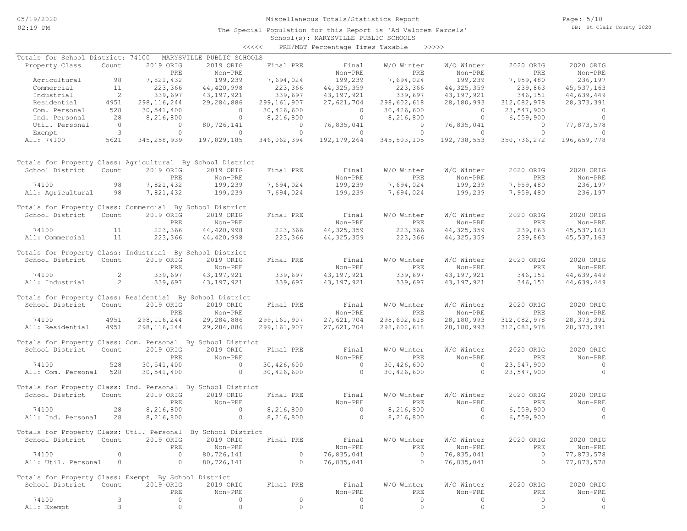# Miscellaneous Totals/Statistics Report

School(s): MARYSVILLE PUBLIC SCHOOLS The Special Population for this Report is 'Ad Valorem Parcels' Page: 5/10 DB: St Clair County 2020

#### <<<<< PRE/MBT Percentage Times Taxable >>>>>

| Totals for School District: 74100                            |                                       |                | MARYSVILLE PUBLIC SCHOOLS |                    |                                       |                       |                         |                |                |
|--------------------------------------------------------------|---------------------------------------|----------------|---------------------------|--------------------|---------------------------------------|-----------------------|-------------------------|----------------|----------------|
| Property Class                                               | Count                                 | 2019 ORIG      | 2019 ORIG                 | Final PRE          | Final                                 | W/O Winter            | W/O Winter              | 2020 ORIG      | 2020 ORIG      |
|                                                              |                                       | PRE            | Non-PRE                   |                    | Non-PRE                               | PRE                   | Non-PRE                 | PRE            | Non-PRE        |
| Agricultural 98                                              |                                       | 7,821,432      | 199,239                   | 7,694,024          | 199,239                               | 7,694,024             | 199,239                 | 7,959,480      | 236,197        |
| Commercial                                                   | 11                                    | 223,366        | 44,420,998                |                    | 44, 325, 359                          | 223,366               | 44, 325, 359            | 239,863        | 45,537,163     |
| Industrial                                                   | $\overline{2}$                        | 339,697        | 43,197,921                | 223,366<br>339,697 | 43,197,921                            | 339,697               | 43,197,921              | 346,151        | 44,639,449     |
| Residential                                                  | 4951                                  | 298, 116, 244  | 29,284,886                | 299,161,907        | 27,621,704                            | 298,602,618           | 28,180,993              | 312,082,978    | 28, 373, 391   |
| Com. Personal                                                | 528                                   | 30,541,400     | $\overline{0}$            | 30,426,600         |                                       | 30,426,600            | $\overline{0}$          | 23,547,900     | $\bigcirc$     |
| Ind. Personal                                                | 28                                    | 8,216,800      | $\overline{0}$            | 8,216,800          | $\begin{array}{c} 0 \\ 0 \end{array}$ | 8,216,800             | $\overline{0}$          | 6,559,900      | $\overline{0}$ |
| Util. Personal                                               |                                       | $\overline{0}$ | 80,726,141                | $\overline{0}$     | 76,835,041                            | $\overline{0}$        | 76,835,041              | $\overline{0}$ | 77,873,578     |
|                                                              | $\begin{array}{c} 0 \\ 3 \end{array}$ | $\overline{0}$ | $\overline{0}$            | $\overline{0}$     | $\overline{0}$                        | $\overline{0}$        | $\overline{0}$          | $\overline{0}$ | $\overline{0}$ |
| Exempt<br>All: 74100                                         | 5621                                  |                | 197,829,185               |                    | 192,179,264                           |                       | 345,503,105 192,738,553 | 350,736,272    | 196,659,778    |
|                                                              |                                       | 345, 258, 939  |                           | 346,062,394        |                                       |                       |                         |                |                |
| Totals for Property Class: Agricultural By School District   |                                       |                |                           |                    |                                       |                       |                         |                |                |
| School District                                              | Count                                 | 2019 ORIG      | 2019 ORIG                 | Final PRE          | Final                                 | W/O Winter            | W/O Winter              | 2020 ORIG      | 2020 ORIG      |
|                                                              |                                       | PRE            | Non-PRE                   |                    | Non-PRE                               | PRE                   | Non-PRE                 | PRE            | Non-PRE        |
| 74100                                                        | 98                                    | 7,821,432      | 199,239                   | 7,694,024          | 199,239                               | 7,694,024             | 199,239                 | 7,959,480      | 236,197        |
| All: Agricultural                                            | 98                                    | 7,821,432      | 199,239                   | 7,694,024          | 199,239                               | 7,694,024             | 199,239                 | 7,959,480      | 236,197        |
| Totals for Property Class: Commercial By School District     |                                       |                |                           |                    |                                       |                       |                         |                |                |
| School District Count                                        |                                       | 2019 ORIG      | 2019 ORIG                 | Final PRE          | Final                                 | W/O Winter            | W/O Winter              | 2020 ORIG      | 2020 ORIG      |
|                                                              |                                       | PRE            | Non-PRE                   |                    | Non-PRE                               | PRE                   | Non-PRE                 | PRE            | Non-PRE        |
| 74100                                                        | 11                                    | 223,366        | 44,420,998                | 223,366            | 44, 325, 359                          | 223,366               | 44, 325, 359            | 239,863        | 45,537,163     |
| All: Commercial                                              | 11                                    | 223,366        | 44,420,998                | 223,366            | 44, 325, 359                          | 223,366               | 44, 325, 359            | 239,863        | 45,537,163     |
| Totals for Property Class: Industrial By School District     |                                       |                |                           |                    |                                       |                       |                         |                |                |
| School District                                              | Count                                 | 2019 ORIG      | 2019 ORIG                 | Final PRE          | Final                                 | W/O Winter            | W/O Winter              | 2020 ORIG      | 2020 ORIG      |
|                                                              |                                       | PRE            | Non-PRE                   |                    | Non-PRE                               | PRE                   | Non-PRE                 | PRE            | Non-PRE        |
| 74100                                                        | $\overline{2}$                        | 339,697        | 43,197,921                | 339,697<br>339,697 | 43,197,921                            | 339,697               | 43,197,921              | 346,151        | 44,639,449     |
| All: Industrial                                              | $\sim$ 2                              | 339,697        | 43,197,921                |                    | 43,197,921                            | 339,697               | 43,197,921              | 346,151        | 44,639,449     |
|                                                              |                                       |                |                           |                    |                                       |                       |                         |                |                |
| Totals for Property Class: Residential By School District    |                                       |                |                           |                    |                                       |                       |                         |                |                |
| School District                                              | Count                                 | 2019 ORIG      | 2019 ORIG                 | Final PRE          | Final                                 | W/O Winter            | W/O Winter              | 2020 ORIG      | 2020 ORIG      |
|                                                              |                                       | PRE            | Non-PRE                   |                    | Non-PRE                               | <b>Example 18 PRE</b> | Non-PRE                 | PRE            | Non-PRE        |
| 74100                                                        | 4951                                  | 298, 116, 244  | 29,284,886                | 299,161,907        | 27,621,704                            | 298,602,618           | 28,180,993              | 312,082,978    | 28, 373, 391   |
| All: Residential                                             | 4951                                  | 298, 116, 244  | 29,284,886                | 299,161,907        | 27,621,704                            | 298,602,618           | 28,180,993              | 312,082,978    | 28, 373, 391   |
| Totals for Property Class: Com. Personal By School District  |                                       |                |                           |                    |                                       |                       |                         |                |                |
| School District                                              | Count                                 | 2019 ORIG      | 2019 ORIG                 | Final PRE          | Final                                 | W/O Winter            | W/O Winter              | 2020 ORIG      | 2020 ORIG      |
|                                                              |                                       | PRE            | Non-PRE                   |                    | Non-PRE                               | PRE                   | Non-PRE                 | PRE            | Non-PRE        |
| 74100                                                        | 528                                   | 30,541,400     | $\sim$ 0                  | 30,426,600         | $\overline{0}$                        | 30,426,600            | $\overline{0}$          | 23,547,900     | $\sim$ 0       |
| All: Com. Personal 528                                       |                                       |                | $\overline{0}$            |                    | $\overline{0}$                        |                       | $\overline{0}$          |                | $\overline{0}$ |
|                                                              |                                       | 30,541,400     |                           | 30,426,600         |                                       | 30,426,600            |                         | 23,547,900     |                |
| Totals for Property Class: Ind. Personal By School District  |                                       |                |                           |                    |                                       |                       |                         |                |                |
| School District                                              | Count                                 | 2019 ORIG      | 2019 ORIG                 | Final PRE          | Final                                 | W/O Winter            | W/O Winter              | 2020 ORIG      | 2020 ORIG      |
|                                                              |                                       | PRE            | Non-PRE                   |                    | Non-PRE                               | PRE                   | Non-PRE                 | PRE            | Non-PRE        |
| 74100                                                        | 28                                    | 8,216,800      | $\overline{0}$            | 8,216,800          | $\sim$ 0                              | 8,216,800             | $\sim$ 0                | 6,559,900      | $\overline{0}$ |
| All: Ind. Personal                                           | 28                                    | 8,216,800      | $\circ$                   | 8,216,800          | $\sim$ 0                              | 8,216,800             | $\circ$                 | 6,559,900      | $\Omega$       |
|                                                              |                                       |                |                           |                    |                                       |                       |                         |                |                |
| Totals for Property Class: Util. Personal By School District |                                       |                |                           |                    |                                       |                       |                         |                |                |
| School District Count 2019 ORIG 2019 ORIG Final PRE          |                                       |                |                           |                    | Final                                 | W/O Winter            | W/O Winter              | 2020 ORIG      | 2020 ORIG      |
|                                                              |                                       | PRE            | Non-PRE                   |                    | Non-PRE                               | PRE                   | Non-PRE                 | PRE            | Non-PRE        |
| 74100                                                        | 0                                     | $\circ$        | 80,726,141                | 0                  | 76,835,041                            | $\circ$               | 76,835,041              | $\overline{0}$ | 77,873,578     |
| All: Util. Personal                                          | $\overline{0}$                        | $\circ$        | 80,726,141                | $\circ$            | 76,835,041                            | $\circ$               | 76,835,041              | $\circ$        | 77,873,578     |
| Totals for Property Class: Exempt By School District         |                                       |                |                           |                    |                                       |                       |                         |                |                |
| School District                                              | Count                                 | 2019 ORIG      | 2019 ORIG                 | Final PRE          | Final                                 | W/O Winter            | W/O Winter              | 2020 ORIG      | 2020 ORIG      |
|                                                              |                                       | PRE            | Non-PRE                   |                    | Non-PRE                               | PRE                   | Non-PRE                 | PRE            | Non-PRE        |
| 74100                                                        | 3                                     | $\circ$        | 0                         | $\circ$            | 0                                     | $\circ$               | $\circ$                 | $\circ$        | 0              |
| All: Exempt                                                  | 3                                     | $\circ$        | $\circ$                   | $\circ$            | $\circ$                               | $\circ$               | $\circ$                 | $\circ$        | $\circ$        |
|                                                              |                                       |                |                           |                    |                                       |                       |                         |                |                |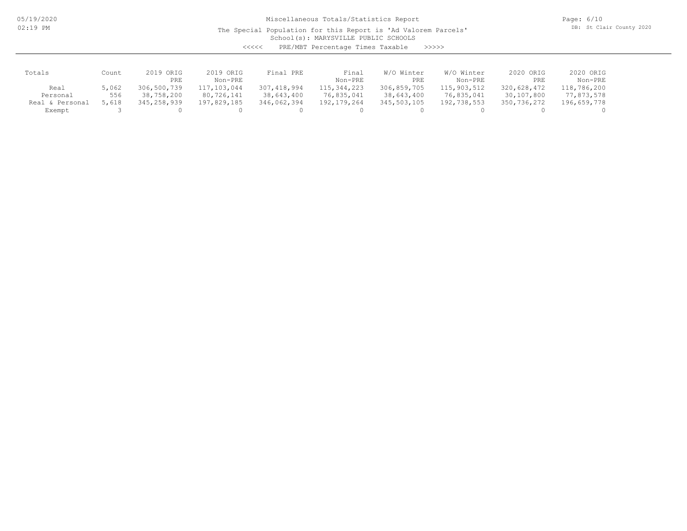05/19/2020 02:19 PM

# Miscellaneous Totals/Statistics Report

The Special Population for this Report is 'Ad Valorem Parcels'

Page: 6/10 DB: St Clair County 2020

School(s): MARYSVILLE PUBLIC SCHOOLS

| くくくくく | PRE/MBT Percentage Times Taxable |  |  | >>>>> |
|-------|----------------------------------|--|--|-------|
|-------|----------------------------------|--|--|-------|

| Totals          | Count | 2019 ORIG   | 2019 ORIG   | Final PRE   | Final         | W/O Winter  | W/O Winter  | 2020 ORIG   | 2020 ORIG   |
|-----------------|-------|-------------|-------------|-------------|---------------|-------------|-------------|-------------|-------------|
|                 |       | PRE         | Non-PRE     |             | Non-PRE       | PRE         | Non-PRE     | PRE         | Non-PRE     |
| Real            | 5,062 | 306,500,739 | 117,103,044 | 307,418,994 | 115,344,223   | 306,859,705 | 115,903,512 | 320,628,472 | 118,786,200 |
| Personal        | 556   | 38,758,200  | 80,726,141  | 38,643,400  | 76,835,041    | 38,643,400  | 76,835,041  | 30,107,800  | 77,873,578  |
| Real & Personal | 5,618 | 345,258,939 | 197,829,185 | 346,062,394 | 192, 179, 264 | 345,503,105 | 192,738,553 | 350,736,272 | 196,659,778 |
| Exempt          |       |             |             |             |               |             |             |             |             |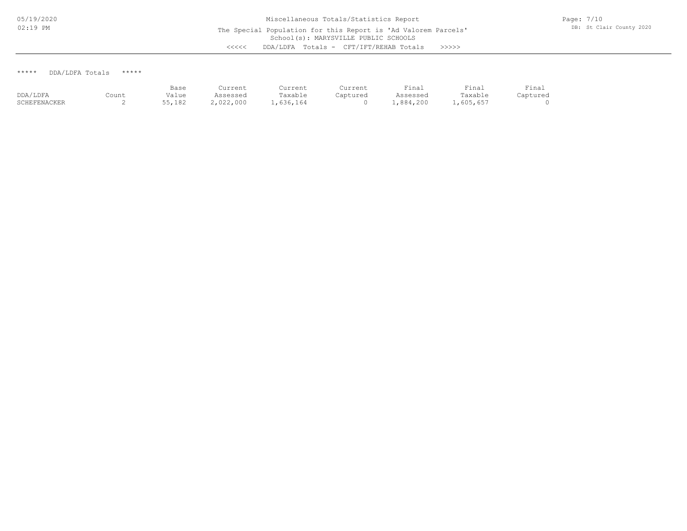\*\*\*\*\* DDA/LDFA Totals \*\*\*\*\*

|              |       | Base   | Current   | Current   | Current  | Final     | Final     | Final    |
|--------------|-------|--------|-----------|-----------|----------|-----------|-----------|----------|
| DDA/LDFA     | Count | Value  | Assessed  | Taxable   | Captured | Assessed  | Taxable   | Captured |
| SCHEFENACKER |       | 55,182 | 2,022,000 | L.636.164 |          | .,884,200 | .,605,657 |          |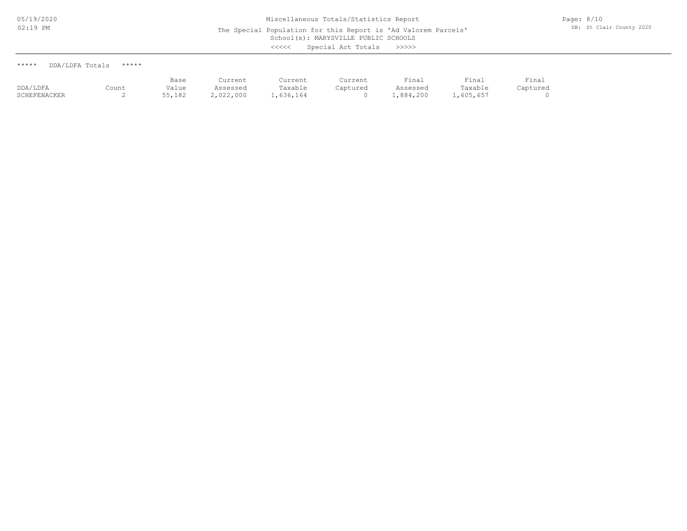| DDA/LDFA Totals<br>***** | ***** |
|--------------------------|-------|
|--------------------------|-------|

|          |       | Base      | Current  | Current | Current  | Final    | $r$ inal | Final |
|----------|-------|-----------|----------|---------|----------|----------|----------|-------|
| DDA/LDFA | Count | Value     | Assessed | ™axable | Captured | Assessed | Taxable  |       |
|          |       | _ _ _ _ _ | .        | .       |          | .        | .        |       |

SCHEFENACKER 2 55,182 2,022,000 1,636,164 0 1,884,200 1,605,657 0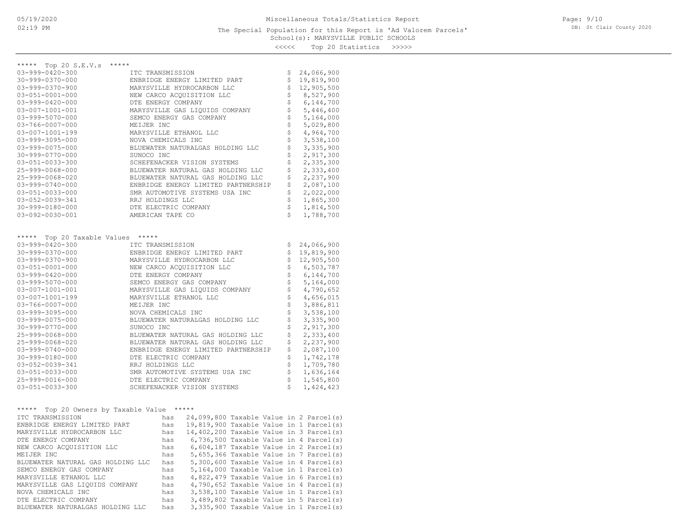### School(s): MARYSVILLE PUBLIC SCHOOLS The Special Population for this Report is 'Ad Valorem Parcels'

Page: 9/10 DB: St Clair County 2020

<<<<< Top 20 Statistics >>>>>

| ***** Top 20 S.E.V.s<br>*****<br>$03 - 999 - 0420 - 300$<br>ITC TRANSMISSION<br>\$<br>24,066,900<br>30-999-0370-000<br>\$<br>19,819,900<br>ENBRIDGE ENERGY LIMITED PART<br>\$<br>$03 - 999 - 0370 - 900$<br>MARYSVILLE HYDROCARBON LLC<br>12,905,500<br>\$<br>8,527,900<br>$03 - 051 - 0001 - 000$<br>NEW CARCO ACQUISITION LLC<br>\$<br>6,144,700<br>$03 - 999 - 0420 - 000$<br>DTE ENERGY COMPANY<br>\$<br>$03 - 007 - 1001 - 001$<br>5,446,400<br>MARYSVILLE GAS LIQUIDS COMPANY<br>\$<br>$03 - 999 - 5070 - 000$<br>SEMCO ENERGY GAS COMPANY<br>5,164,000<br>\$<br>5,029,800<br>$03 - 766 - 0007 - 000$<br>MEIJER INC<br>\$<br>4,964,700<br>03-007-1001-199<br>MARYSVILLE ETHANOL LLC<br>\$<br>3,538,100<br>03-999-3095-000<br>NOVA CHEMICALS INC<br>\$<br>3,335,900<br>$03 - 999 - 0075 - 000$<br>BLUEWATER NATURALGAS HOLDING LLC<br>\$<br>2,917,300<br>$30 - 999 - 0770 - 000$<br>SUNOCO INC<br>\$<br>2,335,300<br>$03 - 051 - 0033 - 300$<br>SCHEFENACKER VISION SYSTEMS<br>\$<br>2,333,400<br>25-999-0068-000<br>BLUEWATER NATURAL GAS HOLDING LLC<br>\$<br>2,237,900<br>25-999-0068-020<br>BLUEWATER NATURAL GAS HOLDING LLC<br>\$<br>2,087,100<br>$03 - 999 - 0740 - 000$<br>ENBRIDGE ENERGY LIMITED PARTNERSHIP<br>\$<br>2,022,000<br>$03 - 051 - 0033 - 000$<br>SMR AUTOMOTIVE SYSTEMS USA INC<br>\$<br>1,865,300<br>03-052-0039-341<br>RRJ HOLDINGS LLC<br>\$<br>30-999-0180-000<br>DTE ELECTRIC COMPANY<br>1,814,500<br>\$<br>1,788,700<br>$03 - 092 - 0030 - 001$<br>AMERICAN TAPE CO<br>Top 20 Taxable Values *****<br>*****<br>$03 - 999 - 0420 - 300$<br>ITC TRANSMISSION<br>\$<br>24,066,900<br>$30 - 999 - 0370 - 000$<br>\$<br>19,819,900<br>ENBRIDGE ENERGY LIMITED PART<br>\$<br>12,905,500<br>$03 - 999 - 0370 - 900$<br>MARYSVILLE HYDROCARBON LLC<br>\$<br>$03 - 051 - 0001 - 000$<br>NEW CARCO ACQUISITION LLC<br>6,503,787<br>\$<br>6,144,700<br>$03 - 999 - 0420 - 000$<br>DTE ENERGY COMPANY<br>\$<br>$03 - 999 - 5070 - 000$<br>SEMCO ENERGY GAS COMPANY<br>5,164,000<br>\$<br>4,790,652<br>$03 - 007 - 1001 - 001$<br>MARYSVILLE GAS LIQUIDS COMPANY<br>\$<br>4,656,015<br>03-007-1001-199<br>MARYSVILLE ETHANOL LLC<br>\$<br>3,886,811<br>03-766-0007-000<br>MEIJER INC<br>\$<br>3,538,100<br>03-999-3095-000<br>NOVA CHEMICALS INC<br>\$<br>3,335,900<br>03-999-0075-000<br>BLUEWATER NATURALGAS HOLDING LLC<br>\$<br>$30 - 999 - 0770 - 000$<br>2,917,300<br>SUNOCO INC<br>\$<br>2,333,400<br>25-999-0068-000<br>BLUEWATER NATURAL GAS HOLDING LLC<br>\$<br>2,237,900<br>25-999-0068-020<br>BLUEWATER NATURAL GAS HOLDING LLC<br>\$<br>$03 - 999 - 0740 - 000$<br>ENBRIDGE ENERGY LIMITED PARTNERSHIP<br>2,087,100<br>\$<br>30-999-0180-000<br>DTE ELECTRIC COMPANY<br>1,742,178<br>\$<br>1,709,780<br>03-052-0039-341<br>RRJ HOLDINGS LLC |
|--------------------------------------------------------------------------------------------------------------------------------------------------------------------------------------------------------------------------------------------------------------------------------------------------------------------------------------------------------------------------------------------------------------------------------------------------------------------------------------------------------------------------------------------------------------------------------------------------------------------------------------------------------------------------------------------------------------------------------------------------------------------------------------------------------------------------------------------------------------------------------------------------------------------------------------------------------------------------------------------------------------------------------------------------------------------------------------------------------------------------------------------------------------------------------------------------------------------------------------------------------------------------------------------------------------------------------------------------------------------------------------------------------------------------------------------------------------------------------------------------------------------------------------------------------------------------------------------------------------------------------------------------------------------------------------------------------------------------------------------------------------------------------------------------------------------------------------------------------------------------------------------------------------------------------------------------------------------------------------------------------------------------------------------------------------------------------------------------------------------------------------------------------------------------------------------------------------------------------------------------------------------------------------------------------------------------------------------------------------------------------------------------------------------------------------------------------------------------------------------------------------------------------------------------------------------------------------------------------------------------------------------------------------------------------------------------------------------------------------------------------------------------------|
|                                                                                                                                                                                                                                                                                                                                                                                                                                                                                                                                                                                                                                                                                                                                                                                                                                                                                                                                                                                                                                                                                                                                                                                                                                                                                                                                                                                                                                                                                                                                                                                                                                                                                                                                                                                                                                                                                                                                                                                                                                                                                                                                                                                                                                                                                                                                                                                                                                                                                                                                                                                                                                                                                                                                                                                |
|                                                                                                                                                                                                                                                                                                                                                                                                                                                                                                                                                                                                                                                                                                                                                                                                                                                                                                                                                                                                                                                                                                                                                                                                                                                                                                                                                                                                                                                                                                                                                                                                                                                                                                                                                                                                                                                                                                                                                                                                                                                                                                                                                                                                                                                                                                                                                                                                                                                                                                                                                                                                                                                                                                                                                                                |
|                                                                                                                                                                                                                                                                                                                                                                                                                                                                                                                                                                                                                                                                                                                                                                                                                                                                                                                                                                                                                                                                                                                                                                                                                                                                                                                                                                                                                                                                                                                                                                                                                                                                                                                                                                                                                                                                                                                                                                                                                                                                                                                                                                                                                                                                                                                                                                                                                                                                                                                                                                                                                                                                                                                                                                                |
|                                                                                                                                                                                                                                                                                                                                                                                                                                                                                                                                                                                                                                                                                                                                                                                                                                                                                                                                                                                                                                                                                                                                                                                                                                                                                                                                                                                                                                                                                                                                                                                                                                                                                                                                                                                                                                                                                                                                                                                                                                                                                                                                                                                                                                                                                                                                                                                                                                                                                                                                                                                                                                                                                                                                                                                |
|                                                                                                                                                                                                                                                                                                                                                                                                                                                                                                                                                                                                                                                                                                                                                                                                                                                                                                                                                                                                                                                                                                                                                                                                                                                                                                                                                                                                                                                                                                                                                                                                                                                                                                                                                                                                                                                                                                                                                                                                                                                                                                                                                                                                                                                                                                                                                                                                                                                                                                                                                                                                                                                                                                                                                                                |
|                                                                                                                                                                                                                                                                                                                                                                                                                                                                                                                                                                                                                                                                                                                                                                                                                                                                                                                                                                                                                                                                                                                                                                                                                                                                                                                                                                                                                                                                                                                                                                                                                                                                                                                                                                                                                                                                                                                                                                                                                                                                                                                                                                                                                                                                                                                                                                                                                                                                                                                                                                                                                                                                                                                                                                                |
|                                                                                                                                                                                                                                                                                                                                                                                                                                                                                                                                                                                                                                                                                                                                                                                                                                                                                                                                                                                                                                                                                                                                                                                                                                                                                                                                                                                                                                                                                                                                                                                                                                                                                                                                                                                                                                                                                                                                                                                                                                                                                                                                                                                                                                                                                                                                                                                                                                                                                                                                                                                                                                                                                                                                                                                |
|                                                                                                                                                                                                                                                                                                                                                                                                                                                                                                                                                                                                                                                                                                                                                                                                                                                                                                                                                                                                                                                                                                                                                                                                                                                                                                                                                                                                                                                                                                                                                                                                                                                                                                                                                                                                                                                                                                                                                                                                                                                                                                                                                                                                                                                                                                                                                                                                                                                                                                                                                                                                                                                                                                                                                                                |
|                                                                                                                                                                                                                                                                                                                                                                                                                                                                                                                                                                                                                                                                                                                                                                                                                                                                                                                                                                                                                                                                                                                                                                                                                                                                                                                                                                                                                                                                                                                                                                                                                                                                                                                                                                                                                                                                                                                                                                                                                                                                                                                                                                                                                                                                                                                                                                                                                                                                                                                                                                                                                                                                                                                                                                                |
|                                                                                                                                                                                                                                                                                                                                                                                                                                                                                                                                                                                                                                                                                                                                                                                                                                                                                                                                                                                                                                                                                                                                                                                                                                                                                                                                                                                                                                                                                                                                                                                                                                                                                                                                                                                                                                                                                                                                                                                                                                                                                                                                                                                                                                                                                                                                                                                                                                                                                                                                                                                                                                                                                                                                                                                |
|                                                                                                                                                                                                                                                                                                                                                                                                                                                                                                                                                                                                                                                                                                                                                                                                                                                                                                                                                                                                                                                                                                                                                                                                                                                                                                                                                                                                                                                                                                                                                                                                                                                                                                                                                                                                                                                                                                                                                                                                                                                                                                                                                                                                                                                                                                                                                                                                                                                                                                                                                                                                                                                                                                                                                                                |
|                                                                                                                                                                                                                                                                                                                                                                                                                                                                                                                                                                                                                                                                                                                                                                                                                                                                                                                                                                                                                                                                                                                                                                                                                                                                                                                                                                                                                                                                                                                                                                                                                                                                                                                                                                                                                                                                                                                                                                                                                                                                                                                                                                                                                                                                                                                                                                                                                                                                                                                                                                                                                                                                                                                                                                                |
|                                                                                                                                                                                                                                                                                                                                                                                                                                                                                                                                                                                                                                                                                                                                                                                                                                                                                                                                                                                                                                                                                                                                                                                                                                                                                                                                                                                                                                                                                                                                                                                                                                                                                                                                                                                                                                                                                                                                                                                                                                                                                                                                                                                                                                                                                                                                                                                                                                                                                                                                                                                                                                                                                                                                                                                |
|                                                                                                                                                                                                                                                                                                                                                                                                                                                                                                                                                                                                                                                                                                                                                                                                                                                                                                                                                                                                                                                                                                                                                                                                                                                                                                                                                                                                                                                                                                                                                                                                                                                                                                                                                                                                                                                                                                                                                                                                                                                                                                                                                                                                                                                                                                                                                                                                                                                                                                                                                                                                                                                                                                                                                                                |
|                                                                                                                                                                                                                                                                                                                                                                                                                                                                                                                                                                                                                                                                                                                                                                                                                                                                                                                                                                                                                                                                                                                                                                                                                                                                                                                                                                                                                                                                                                                                                                                                                                                                                                                                                                                                                                                                                                                                                                                                                                                                                                                                                                                                                                                                                                                                                                                                                                                                                                                                                                                                                                                                                                                                                                                |
|                                                                                                                                                                                                                                                                                                                                                                                                                                                                                                                                                                                                                                                                                                                                                                                                                                                                                                                                                                                                                                                                                                                                                                                                                                                                                                                                                                                                                                                                                                                                                                                                                                                                                                                                                                                                                                                                                                                                                                                                                                                                                                                                                                                                                                                                                                                                                                                                                                                                                                                                                                                                                                                                                                                                                                                |
|                                                                                                                                                                                                                                                                                                                                                                                                                                                                                                                                                                                                                                                                                                                                                                                                                                                                                                                                                                                                                                                                                                                                                                                                                                                                                                                                                                                                                                                                                                                                                                                                                                                                                                                                                                                                                                                                                                                                                                                                                                                                                                                                                                                                                                                                                                                                                                                                                                                                                                                                                                                                                                                                                                                                                                                |
|                                                                                                                                                                                                                                                                                                                                                                                                                                                                                                                                                                                                                                                                                                                                                                                                                                                                                                                                                                                                                                                                                                                                                                                                                                                                                                                                                                                                                                                                                                                                                                                                                                                                                                                                                                                                                                                                                                                                                                                                                                                                                                                                                                                                                                                                                                                                                                                                                                                                                                                                                                                                                                                                                                                                                                                |
|                                                                                                                                                                                                                                                                                                                                                                                                                                                                                                                                                                                                                                                                                                                                                                                                                                                                                                                                                                                                                                                                                                                                                                                                                                                                                                                                                                                                                                                                                                                                                                                                                                                                                                                                                                                                                                                                                                                                                                                                                                                                                                                                                                                                                                                                                                                                                                                                                                                                                                                                                                                                                                                                                                                                                                                |
|                                                                                                                                                                                                                                                                                                                                                                                                                                                                                                                                                                                                                                                                                                                                                                                                                                                                                                                                                                                                                                                                                                                                                                                                                                                                                                                                                                                                                                                                                                                                                                                                                                                                                                                                                                                                                                                                                                                                                                                                                                                                                                                                                                                                                                                                                                                                                                                                                                                                                                                                                                                                                                                                                                                                                                                |
|                                                                                                                                                                                                                                                                                                                                                                                                                                                                                                                                                                                                                                                                                                                                                                                                                                                                                                                                                                                                                                                                                                                                                                                                                                                                                                                                                                                                                                                                                                                                                                                                                                                                                                                                                                                                                                                                                                                                                                                                                                                                                                                                                                                                                                                                                                                                                                                                                                                                                                                                                                                                                                                                                                                                                                                |
|                                                                                                                                                                                                                                                                                                                                                                                                                                                                                                                                                                                                                                                                                                                                                                                                                                                                                                                                                                                                                                                                                                                                                                                                                                                                                                                                                                                                                                                                                                                                                                                                                                                                                                                                                                                                                                                                                                                                                                                                                                                                                                                                                                                                                                                                                                                                                                                                                                                                                                                                                                                                                                                                                                                                                                                |
|                                                                                                                                                                                                                                                                                                                                                                                                                                                                                                                                                                                                                                                                                                                                                                                                                                                                                                                                                                                                                                                                                                                                                                                                                                                                                                                                                                                                                                                                                                                                                                                                                                                                                                                                                                                                                                                                                                                                                                                                                                                                                                                                                                                                                                                                                                                                                                                                                                                                                                                                                                                                                                                                                                                                                                                |
|                                                                                                                                                                                                                                                                                                                                                                                                                                                                                                                                                                                                                                                                                                                                                                                                                                                                                                                                                                                                                                                                                                                                                                                                                                                                                                                                                                                                                                                                                                                                                                                                                                                                                                                                                                                                                                                                                                                                                                                                                                                                                                                                                                                                                                                                                                                                                                                                                                                                                                                                                                                                                                                                                                                                                                                |
|                                                                                                                                                                                                                                                                                                                                                                                                                                                                                                                                                                                                                                                                                                                                                                                                                                                                                                                                                                                                                                                                                                                                                                                                                                                                                                                                                                                                                                                                                                                                                                                                                                                                                                                                                                                                                                                                                                                                                                                                                                                                                                                                                                                                                                                                                                                                                                                                                                                                                                                                                                                                                                                                                                                                                                                |
|                                                                                                                                                                                                                                                                                                                                                                                                                                                                                                                                                                                                                                                                                                                                                                                                                                                                                                                                                                                                                                                                                                                                                                                                                                                                                                                                                                                                                                                                                                                                                                                                                                                                                                                                                                                                                                                                                                                                                                                                                                                                                                                                                                                                                                                                                                                                                                                                                                                                                                                                                                                                                                                                                                                                                                                |
|                                                                                                                                                                                                                                                                                                                                                                                                                                                                                                                                                                                                                                                                                                                                                                                                                                                                                                                                                                                                                                                                                                                                                                                                                                                                                                                                                                                                                                                                                                                                                                                                                                                                                                                                                                                                                                                                                                                                                                                                                                                                                                                                                                                                                                                                                                                                                                                                                                                                                                                                                                                                                                                                                                                                                                                |
|                                                                                                                                                                                                                                                                                                                                                                                                                                                                                                                                                                                                                                                                                                                                                                                                                                                                                                                                                                                                                                                                                                                                                                                                                                                                                                                                                                                                                                                                                                                                                                                                                                                                                                                                                                                                                                                                                                                                                                                                                                                                                                                                                                                                                                                                                                                                                                                                                                                                                                                                                                                                                                                                                                                                                                                |
|                                                                                                                                                                                                                                                                                                                                                                                                                                                                                                                                                                                                                                                                                                                                                                                                                                                                                                                                                                                                                                                                                                                                                                                                                                                                                                                                                                                                                                                                                                                                                                                                                                                                                                                                                                                                                                                                                                                                                                                                                                                                                                                                                                                                                                                                                                                                                                                                                                                                                                                                                                                                                                                                                                                                                                                |
|                                                                                                                                                                                                                                                                                                                                                                                                                                                                                                                                                                                                                                                                                                                                                                                                                                                                                                                                                                                                                                                                                                                                                                                                                                                                                                                                                                                                                                                                                                                                                                                                                                                                                                                                                                                                                                                                                                                                                                                                                                                                                                                                                                                                                                                                                                                                                                                                                                                                                                                                                                                                                                                                                                                                                                                |
|                                                                                                                                                                                                                                                                                                                                                                                                                                                                                                                                                                                                                                                                                                                                                                                                                                                                                                                                                                                                                                                                                                                                                                                                                                                                                                                                                                                                                                                                                                                                                                                                                                                                                                                                                                                                                                                                                                                                                                                                                                                                                                                                                                                                                                                                                                                                                                                                                                                                                                                                                                                                                                                                                                                                                                                |
|                                                                                                                                                                                                                                                                                                                                                                                                                                                                                                                                                                                                                                                                                                                                                                                                                                                                                                                                                                                                                                                                                                                                                                                                                                                                                                                                                                                                                                                                                                                                                                                                                                                                                                                                                                                                                                                                                                                                                                                                                                                                                                                                                                                                                                                                                                                                                                                                                                                                                                                                                                                                                                                                                                                                                                                |
|                                                                                                                                                                                                                                                                                                                                                                                                                                                                                                                                                                                                                                                                                                                                                                                                                                                                                                                                                                                                                                                                                                                                                                                                                                                                                                                                                                                                                                                                                                                                                                                                                                                                                                                                                                                                                                                                                                                                                                                                                                                                                                                                                                                                                                                                                                                                                                                                                                                                                                                                                                                                                                                                                                                                                                                |
|                                                                                                                                                                                                                                                                                                                                                                                                                                                                                                                                                                                                                                                                                                                                                                                                                                                                                                                                                                                                                                                                                                                                                                                                                                                                                                                                                                                                                                                                                                                                                                                                                                                                                                                                                                                                                                                                                                                                                                                                                                                                                                                                                                                                                                                                                                                                                                                                                                                                                                                                                                                                                                                                                                                                                                                |
|                                                                                                                                                                                                                                                                                                                                                                                                                                                                                                                                                                                                                                                                                                                                                                                                                                                                                                                                                                                                                                                                                                                                                                                                                                                                                                                                                                                                                                                                                                                                                                                                                                                                                                                                                                                                                                                                                                                                                                                                                                                                                                                                                                                                                                                                                                                                                                                                                                                                                                                                                                                                                                                                                                                                                                                |
|                                                                                                                                                                                                                                                                                                                                                                                                                                                                                                                                                                                                                                                                                                                                                                                                                                                                                                                                                                                                                                                                                                                                                                                                                                                                                                                                                                                                                                                                                                                                                                                                                                                                                                                                                                                                                                                                                                                                                                                                                                                                                                                                                                                                                                                                                                                                                                                                                                                                                                                                                                                                                                                                                                                                                                                |
|                                                                                                                                                                                                                                                                                                                                                                                                                                                                                                                                                                                                                                                                                                                                                                                                                                                                                                                                                                                                                                                                                                                                                                                                                                                                                                                                                                                                                                                                                                                                                                                                                                                                                                                                                                                                                                                                                                                                                                                                                                                                                                                                                                                                                                                                                                                                                                                                                                                                                                                                                                                                                                                                                                                                                                                |
|                                                                                                                                                                                                                                                                                                                                                                                                                                                                                                                                                                                                                                                                                                                                                                                                                                                                                                                                                                                                                                                                                                                                                                                                                                                                                                                                                                                                                                                                                                                                                                                                                                                                                                                                                                                                                                                                                                                                                                                                                                                                                                                                                                                                                                                                                                                                                                                                                                                                                                                                                                                                                                                                                                                                                                                |
|                                                                                                                                                                                                                                                                                                                                                                                                                                                                                                                                                                                                                                                                                                                                                                                                                                                                                                                                                                                                                                                                                                                                                                                                                                                                                                                                                                                                                                                                                                                                                                                                                                                                                                                                                                                                                                                                                                                                                                                                                                                                                                                                                                                                                                                                                                                                                                                                                                                                                                                                                                                                                                                                                                                                                                                |
|                                                                                                                                                                                                                                                                                                                                                                                                                                                                                                                                                                                                                                                                                                                                                                                                                                                                                                                                                                                                                                                                                                                                                                                                                                                                                                                                                                                                                                                                                                                                                                                                                                                                                                                                                                                                                                                                                                                                                                                                                                                                                                                                                                                                                                                                                                                                                                                                                                                                                                                                                                                                                                                                                                                                                                                |
|                                                                                                                                                                                                                                                                                                                                                                                                                                                                                                                                                                                                                                                                                                                                                                                                                                                                                                                                                                                                                                                                                                                                                                                                                                                                                                                                                                                                                                                                                                                                                                                                                                                                                                                                                                                                                                                                                                                                                                                                                                                                                                                                                                                                                                                                                                                                                                                                                                                                                                                                                                                                                                                                                                                                                                                |
| \$<br>$03 - 051 - 0033 - 000$<br>SMR AUTOMOTIVE SYSTEMS USA INC<br>1,636,164                                                                                                                                                                                                                                                                                                                                                                                                                                                                                                                                                                                                                                                                                                                                                                                                                                                                                                                                                                                                                                                                                                                                                                                                                                                                                                                                                                                                                                                                                                                                                                                                                                                                                                                                                                                                                                                                                                                                                                                                                                                                                                                                                                                                                                                                                                                                                                                                                                                                                                                                                                                                                                                                                                   |
| \$<br>1,545,800<br>25-999-0016-000<br>DTE ELECTRIC COMPANY                                                                                                                                                                                                                                                                                                                                                                                                                                                                                                                                                                                                                                                                                                                                                                                                                                                                                                                                                                                                                                                                                                                                                                                                                                                                                                                                                                                                                                                                                                                                                                                                                                                                                                                                                                                                                                                                                                                                                                                                                                                                                                                                                                                                                                                                                                                                                                                                                                                                                                                                                                                                                                                                                                                     |
| \$<br>$03 - 051 - 0033 - 300$<br>SCHEFENACKER VISION SYSTEMS<br>1,424,423                                                                                                                                                                                                                                                                                                                                                                                                                                                                                                                                                                                                                                                                                                                                                                                                                                                                                                                                                                                                                                                                                                                                                                                                                                                                                                                                                                                                                                                                                                                                                                                                                                                                                                                                                                                                                                                                                                                                                                                                                                                                                                                                                                                                                                                                                                                                                                                                                                                                                                                                                                                                                                                                                                      |
|                                                                                                                                                                                                                                                                                                                                                                                                                                                                                                                                                                                                                                                                                                                                                                                                                                                                                                                                                                                                                                                                                                                                                                                                                                                                                                                                                                                                                                                                                                                                                                                                                                                                                                                                                                                                                                                                                                                                                                                                                                                                                                                                                                                                                                                                                                                                                                                                                                                                                                                                                                                                                                                                                                                                                                                |
| ***** Top 20 Owners by Taxable Value *****                                                                                                                                                                                                                                                                                                                                                                                                                                                                                                                                                                                                                                                                                                                                                                                                                                                                                                                                                                                                                                                                                                                                                                                                                                                                                                                                                                                                                                                                                                                                                                                                                                                                                                                                                                                                                                                                                                                                                                                                                                                                                                                                                                                                                                                                                                                                                                                                                                                                                                                                                                                                                                                                                                                                     |
| 24,099,800 Taxable Value in 2 Parcel(s)<br>ITC TRANSMISSION<br>has                                                                                                                                                                                                                                                                                                                                                                                                                                                                                                                                                                                                                                                                                                                                                                                                                                                                                                                                                                                                                                                                                                                                                                                                                                                                                                                                                                                                                                                                                                                                                                                                                                                                                                                                                                                                                                                                                                                                                                                                                                                                                                                                                                                                                                                                                                                                                                                                                                                                                                                                                                                                                                                                                                             |
| 19,819,900 Taxable Value in 1 Parcel(s)<br>ENBRIDGE ENERGY LIMITED PART<br>has                                                                                                                                                                                                                                                                                                                                                                                                                                                                                                                                                                                                                                                                                                                                                                                                                                                                                                                                                                                                                                                                                                                                                                                                                                                                                                                                                                                                                                                                                                                                                                                                                                                                                                                                                                                                                                                                                                                                                                                                                                                                                                                                                                                                                                                                                                                                                                                                                                                                                                                                                                                                                                                                                                 |
| 14,402,200 Taxable Value in 3 Parcel(s)<br>MARYSVILLE HYDROCARBON LLC<br>has                                                                                                                                                                                                                                                                                                                                                                                                                                                                                                                                                                                                                                                                                                                                                                                                                                                                                                                                                                                                                                                                                                                                                                                                                                                                                                                                                                                                                                                                                                                                                                                                                                                                                                                                                                                                                                                                                                                                                                                                                                                                                                                                                                                                                                                                                                                                                                                                                                                                                                                                                                                                                                                                                                   |
| 6,736,500 Taxable Value in 4 Parcel(s)<br>DTE ENERGY COMPANY<br>has                                                                                                                                                                                                                                                                                                                                                                                                                                                                                                                                                                                                                                                                                                                                                                                                                                                                                                                                                                                                                                                                                                                                                                                                                                                                                                                                                                                                                                                                                                                                                                                                                                                                                                                                                                                                                                                                                                                                                                                                                                                                                                                                                                                                                                                                                                                                                                                                                                                                                                                                                                                                                                                                                                            |
| 6,604,187 Taxable Value in 2 Parcel(s)<br>NEW CARCO ACQUISITION LLC<br>has                                                                                                                                                                                                                                                                                                                                                                                                                                                                                                                                                                                                                                                                                                                                                                                                                                                                                                                                                                                                                                                                                                                                                                                                                                                                                                                                                                                                                                                                                                                                                                                                                                                                                                                                                                                                                                                                                                                                                                                                                                                                                                                                                                                                                                                                                                                                                                                                                                                                                                                                                                                                                                                                                                     |
|                                                                                                                                                                                                                                                                                                                                                                                                                                                                                                                                                                                                                                                                                                                                                                                                                                                                                                                                                                                                                                                                                                                                                                                                                                                                                                                                                                                                                                                                                                                                                                                                                                                                                                                                                                                                                                                                                                                                                                                                                                                                                                                                                                                                                                                                                                                                                                                                                                                                                                                                                                                                                                                                                                                                                                                |
|                                                                                                                                                                                                                                                                                                                                                                                                                                                                                                                                                                                                                                                                                                                                                                                                                                                                                                                                                                                                                                                                                                                                                                                                                                                                                                                                                                                                                                                                                                                                                                                                                                                                                                                                                                                                                                                                                                                                                                                                                                                                                                                                                                                                                                                                                                                                                                                                                                                                                                                                                                                                                                                                                                                                                                                |
| $5,655,366$ Taxable Value in 7 Parcel(s)<br>MEIJER INC<br>has                                                                                                                                                                                                                                                                                                                                                                                                                                                                                                                                                                                                                                                                                                                                                                                                                                                                                                                                                                                                                                                                                                                                                                                                                                                                                                                                                                                                                                                                                                                                                                                                                                                                                                                                                                                                                                                                                                                                                                                                                                                                                                                                                                                                                                                                                                                                                                                                                                                                                                                                                                                                                                                                                                                  |
| BLUEWATER NATURAL GAS HOLDING LLC<br>5,300,600 Taxable Value in 4 Parcel(s)<br>has<br>has                                                                                                                                                                                                                                                                                                                                                                                                                                                                                                                                                                                                                                                                                                                                                                                                                                                                                                                                                                                                                                                                                                                                                                                                                                                                                                                                                                                                                                                                                                                                                                                                                                                                                                                                                                                                                                                                                                                                                                                                                                                                                                                                                                                                                                                                                                                                                                                                                                                                                                                                                                                                                                                                                      |
| SEMCO ENERGY GAS COMPANY<br>5,164,000 Taxable Value in 1 Parcel(s)<br>MARYSVILLE ETHANOL LLC<br>4,822,479 Taxable Value in 6 Parcel(s)<br>has                                                                                                                                                                                                                                                                                                                                                                                                                                                                                                                                                                                                                                                                                                                                                                                                                                                                                                                                                                                                                                                                                                                                                                                                                                                                                                                                                                                                                                                                                                                                                                                                                                                                                                                                                                                                                                                                                                                                                                                                                                                                                                                                                                                                                                                                                                                                                                                                                                                                                                                                                                                                                                  |

BLUEWATER NATURALGAS HOLDING LLC has 3,335,900 Taxable Value in 1 Parcel(s) DTE ELECTRIC COMPANY has 3,489,802 Taxable Value in 5 Parcel(s) NOVA CHEMICALS INC has 3,538,100 Taxable Value in 1 Parcel(s)